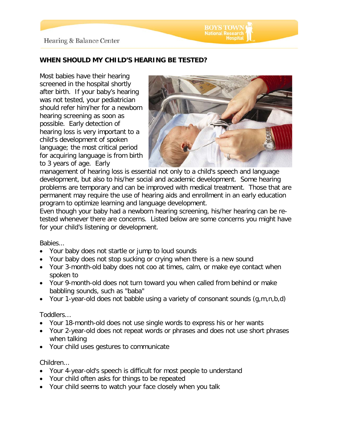

## **WHEN SHOULD MY CHILD'S HEARING BE TESTED?**

Most babies have their hearing screened in the hospital shortly after birth. If your baby's hearing was not tested, your pediatrician should refer him/her for a newborn hearing screening as soon as possible. Early detection of hearing loss is very important to a child's development of spoken language; the most critical period for acquiring language is from birth to 3 years of age. Early



**National Research** 

management of hearing loss is essential not only to a child's speech and language development, but also to his/her social and academic development. Some hearing problems are temporary and can be improved with medical treatment. Those that are permanent may require the use of hearing aids and enrollment in an early education program to optimize learning and language development.

Even though your baby had a newborn hearing screening, his/her hearing can be retested whenever there are concerns. Listed below are some concerns you might have for your child's listening or development.

## Babies...

- Your baby does not startle or jump to loud sounds
- Your baby does not stop sucking or crying when there is a new sound
- Your 3-month-old baby does not coo at times, calm, or make eye contact when spoken to
- Your 9-month-old does not turn toward you when called from behind or make babbling sounds, such as "baba"
- Your 1-year-old does not babble using a variety of consonant sounds (g,m,n,b,d)

## Toddlers…

- Your 18-month-old does not use single words to express his or her wants
- Your 2-year-old does not repeat words or phrases and does not use short phrases when talking
- Your child uses gestures to communicate

## Children...

- Your 4-year-old's speech is difficult for most people to understand
- Your child often asks for things to be repeated
- Your child seems to watch your face closely when you talk